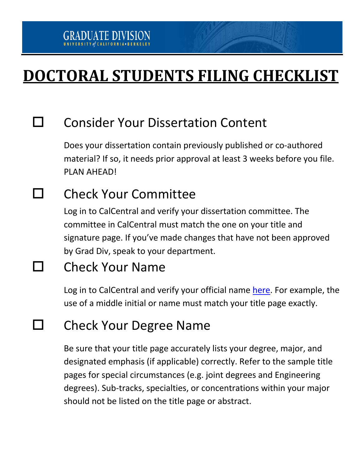# **DOCTORAL STUDENTS FILING CHECKLIST**

### $\square$  Consider Your Dissertation Content

Does your dissertation contain previously published or co-authored material? If so, it needs prior approval at least 3 weeks before you file. PLAN AHEAD!

## **Check Your Committee**

Log in to CalCentral and verify your dissertation committee. The committee in CalCentral must match the one on your title and signature page. If you've made changes that have not been approved by Grad Div, speak to your department.

### **Check Your Name**

Log in to CalCentral and verify your official name here. For example, the use of a middle initial or name must match your title page exactly.

### Check Your Degree Name

Be sure that your title page accurately lists your degree, major, and designated emphasis (if applicable) correctly. Refer to the sample title pages for special circumstances (e.g. joint degrees and Engineering degrees). Sub-tracks, specialties, or concentrations within your major should not be listed on the title page or abstract.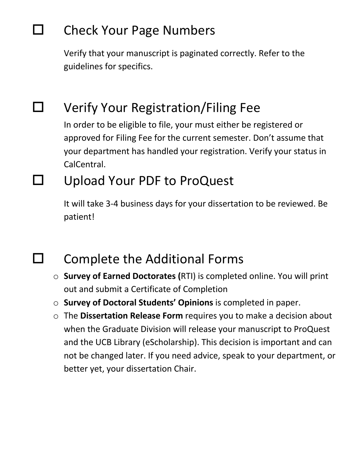# $\Box$  Check Your Page Numbers

Verify that your manuscript is paginated correctly. Refer to the guidelines for specifics.

# $\Box$  Verify Your Registration/Filing Fee

In order to be eligible to file, your must either be registered or approved for Filing Fee for the current semester. Don't assume that your department has handled your registration. Verify your status in CalCentral.

### Upload Your PDF to ProQuest

It will take 3-4 business days for your dissertation to be reviewed. Be patient!

### $\Box$  Complete the Additional Forms

- o **Survey of Earned Doctorates (**RTI) is completed online. You will print out and submit a Certificate of Completion
- o **Survey of Doctoral Students' Opinions** is completed in paper.
- o The **Dissertation Release Form** requires you to make a decision about when the Graduate Division will release your manuscript to ProQuest and the UCB Library (eScholarship). This decision is important and can not be changed later. If you need advice, speak to your department, or better yet, your dissertation Chair.